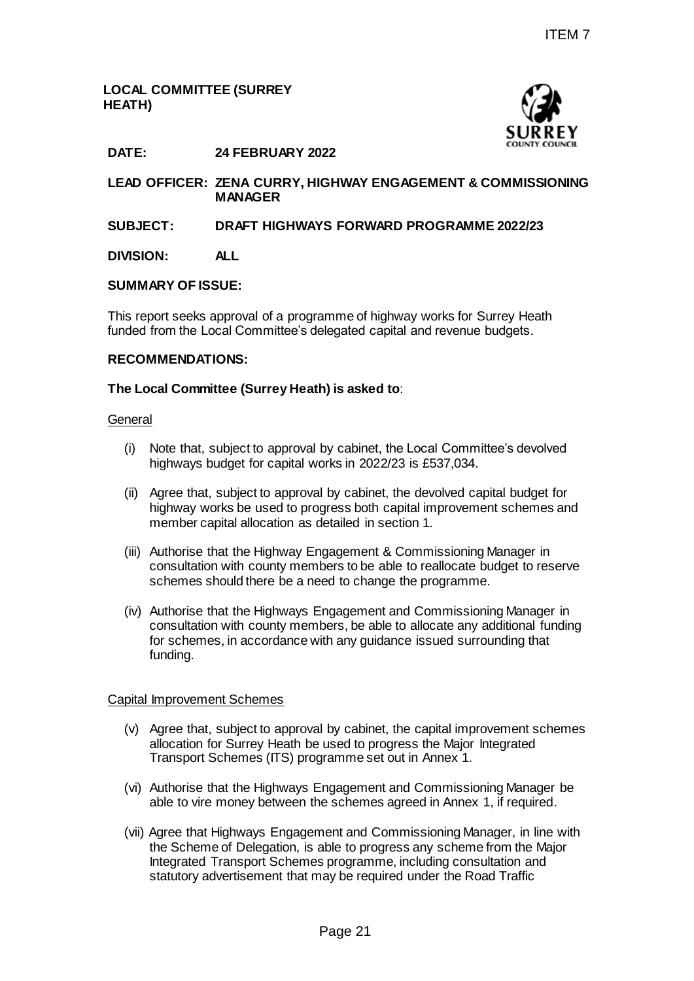## **LOCAL COMMITTEE (SURREY HEATH)**



# **DATE: 24 FEBRUARY 2022**

**LEAD OFFICER: ZENA CURRY, HIGHWAY ENGAGEMENT & COMMISSIONING MANAGER**

### **SUBJECT: DRAFT HIGHWAYS FORWARD PROGRAMME 2022/23**

### **DIVISION: ALL**

#### **SUMMARY OF ISSUE:**

This report seeks approval of a programme of highway works for Surrey Heath funded from the Local Committee's delegated capital and revenue budgets.

#### **RECOMMENDATIONS:**

#### **The Local Committee (Surrey Heath) is asked to**:

#### **General**

- (i) Note that, subject to approval by cabinet, the Local Committee's devolved highways budget for capital works in 2022/23 is £537,034.
- (ii) Agree that, subject to approval by cabinet, the devolved capital budget for highway works be used to progress both capital improvement schemes and member capital allocation as detailed in section 1.
- (iii) Authorise that the Highway Engagement & Commissioning Manager in consultation with county members to be able to reallocate budget to reserve schemes should there be a need to change the programme.
- (iv) Authorise that the Highways Engagement and Commissioning Manager in consultation with county members, be able to allocate any additional funding for schemes, in accordance with any guidance issued surrounding that funding. Page 21 ITEM 7

### Capital Improvement Schemes

- (v) Agree that, subject to approval by cabinet, the capital improvement schemes allocation for Surrey Heath be used to progress the Major Integrated Transport Schemes (ITS) programme set out in Annex 1.
- (vi) Authorise that the Highways Engagement and Commissioning Manager be able to vire money between the schemes agreed in Annex 1, if required.
- (vii) Agree that Highways Engagement and Commissioning Manager, in line with the Scheme of Delegation, is able to progress any scheme from the Major Integrated Transport Schemes programme, including consultation and statutory advertisement that may be required under the Road Traffic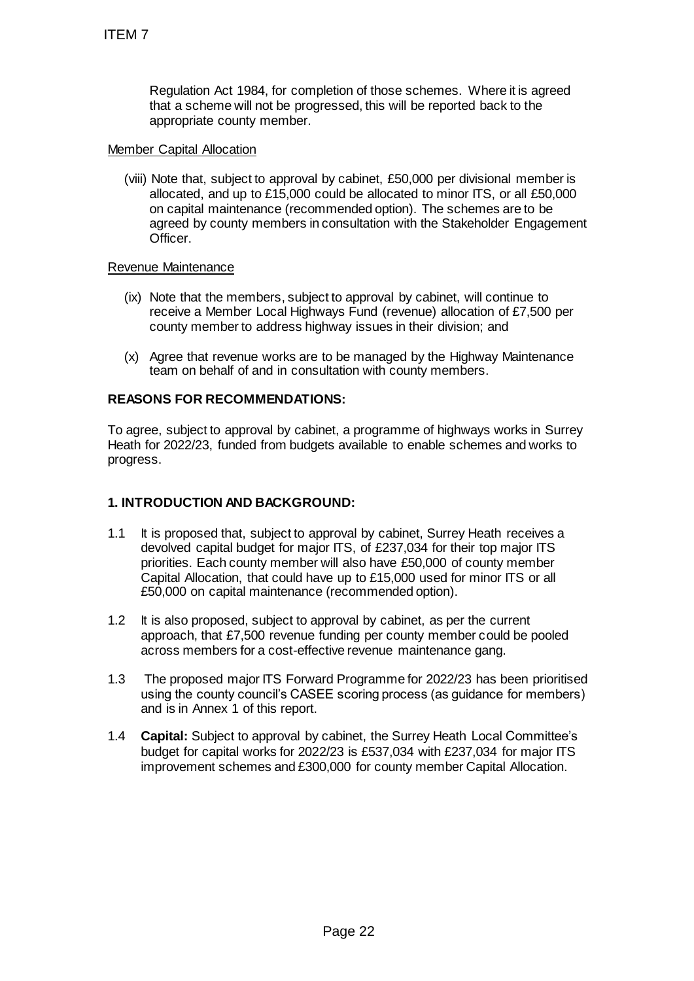Regulation Act 1984, for completion of those schemes. Where it is agreed that a scheme will not be progressed, this will be reported back to the appropriate county member.

### Member Capital Allocation

(viii) Note that, subject to approval by cabinet, £50,000 per divisional member is allocated, and up to £15,000 could be allocated to minor ITS, or all £50,000 on capital maintenance (recommended option). The schemes are to be agreed by county members in consultation with the Stakeholder Engagement Officer.

## Revenue Maintenance

- (ix) Note that the members, subject to approval by cabinet, will continue to receive a Member Local Highways Fund (revenue) allocation of £7,500 per county member to address highway issues in their division; and
- (x) Agree that revenue works are to be managed by the Highway Maintenance team on behalf of and in consultation with county members.

# **REASONS FOR RECOMMENDATIONS:**

To agree, subject to approval by cabinet, a programme of highways works in Surrey Heath for 2022/23, funded from budgets available to enable schemes and works to progress.

# **1. INTRODUCTION AND BACKGROUND:**

- 1.1 It is proposed that, subject to approval by cabinet, Surrey Heath receives a devolved capital budget for major ITS, of £237,034 for their top major ITS priorities. Each county member will also have £50,000 of county member Capital Allocation, that could have up to £15,000 used for minor ITS or all £50,000 on capital maintenance (recommended option). ITEM 7<br>
Regulation Act 1984, for completion of that a scheme will not be progressed, the appropriate county member.<br>
Member Capital Allocation<br>
(wii) Note that, subject to approval by cabine<br>
allocated, and up to £15,000 c
- 1.2 It is also proposed, subject to approval by cabinet, as per the current approach, that £7,500 revenue funding per county member could be pooled across members for a cost-effective revenue maintenance gang.
- 1.3 The proposed major ITS Forward Programme for 2022/23 has been prioritised using the county council's CASEE scoring process (as guidance for members) and is in Annex 1 of this report.
- 1.4 **Capital:** Subject to approval by cabinet, the Surrey Heath Local Committee's budget for capital works for 2022/23 is £537,034 with £237,034 for major ITS improvement schemes and £300,000 for county member Capital Allocation.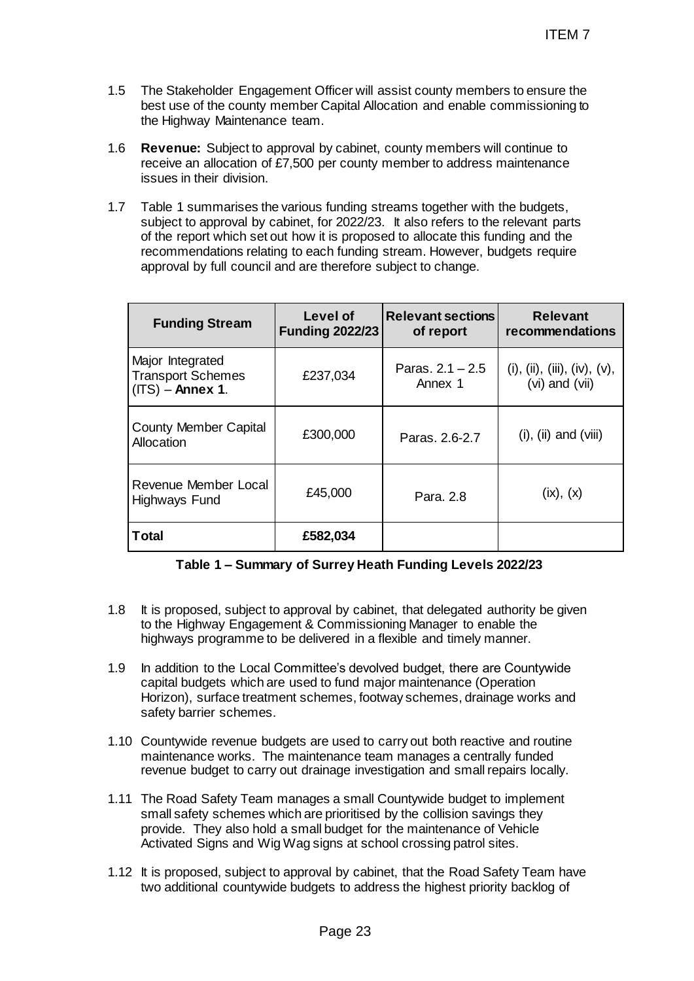- 1.5 The Stakeholder Engagement Officer will assist county members to ensure the best use of the county member Capital Allocation and enable commissioning to the Highway Maintenance team.
- 1.6 **Revenue:** Subject to approval by cabinet, county members will continue to receive an allocation of £7,500 per county member to address maintenance issues in their division.
- 1.7 Table 1 summarises the various funding streams together with the budgets, subject to approval by cabinet, for 2022/23. It also refers to the relevant parts of the report which set out how it is proposed to allocate this funding and the recommendations relating to each funding stream. However, budgets require approval by full council and are therefore subject to change.

|                                                          |                                                                                                                                                                                                                                                                                                                                                                                                 |                                    |                                       | <b>ITEM7</b>                                      |  |  |
|----------------------------------------------------------|-------------------------------------------------------------------------------------------------------------------------------------------------------------------------------------------------------------------------------------------------------------------------------------------------------------------------------------------------------------------------------------------------|------------------------------------|---------------------------------------|---------------------------------------------------|--|--|
|                                                          | The Stakeholder Engagement Officer will assist county members to ensure the<br>best use of the county member Capital Allocation and enable commissioning to<br>the Highway Maintenance team.                                                                                                                                                                                                    |                                    |                                       |                                                   |  |  |
|                                                          | <b>Revenue:</b> Subject to approval by cabinet, county members will continue to<br>receive an allocation of £7,500 per county member to address maintenance<br>issues in their division.                                                                                                                                                                                                        |                                    |                                       |                                                   |  |  |
|                                                          | Table 1 summarises the various funding streams together with the budgets,<br>subject to approval by cabinet, for 2022/23. It also refers to the relevant parts<br>of the report which set out how it is proposed to allocate this funding and the<br>recommendations relating to each funding stream. However, budgets require<br>approval by full council and are therefore subject to change. |                                    |                                       |                                                   |  |  |
|                                                          | <b>Funding Stream</b>                                                                                                                                                                                                                                                                                                                                                                           | Level of<br><b>Funding 2022/23</b> | <b>Relevant sections</b><br>of report | <b>Relevant</b><br>recommendations                |  |  |
|                                                          | Major Integrated<br><b>Transport Schemes</b><br>$(ITS) -$ Annex 1.                                                                                                                                                                                                                                                                                                                              | £237,034                           | Paras, $2.1 - 2.5$<br>Annex 1         | (i), (ii), (iii), (iv), $(v)$ ,<br>(vi) and (vii) |  |  |
|                                                          | <b>County Member Capital</b><br><b>Allocation</b>                                                                                                                                                                                                                                                                                                                                               | £300,000                           | Paras, 2.6-2.7                        | $(i)$ , $(ii)$ and $(viii)$                       |  |  |
|                                                          | Revenue Member Local<br>Highways Fund                                                                                                                                                                                                                                                                                                                                                           | £45,000                            | Para, 2.8                             | (ix), (x)                                         |  |  |
| <b>Total</b>                                             |                                                                                                                                                                                                                                                                                                                                                                                                 | £582,034                           |                                       |                                                   |  |  |
| Table 1 - Summary of Surrey Heath Funding Levels 2022/23 |                                                                                                                                                                                                                                                                                                                                                                                                 |                                    |                                       |                                                   |  |  |
|                                                          | It is proposed, subject to approval by cabinet, that delegated authority be given<br>to the Highway Engagement & Commissioning Manager to enable the<br>highways programme to be delivered in a flexible and timely manner.                                                                                                                                                                     |                                    |                                       |                                                   |  |  |
|                                                          | In addition to the Local Committee's devolved budget, there are Countywide<br>capital budgets which are used to fund major maintenance (Operation<br>Horizon), surface treatment schemes, footway schemes, drainage works and<br>safety barrier schemes.                                                                                                                                        |                                    |                                       |                                                   |  |  |
|                                                          | 0 Countywide revenue budgets are used to carry out both reactive and routine<br>maintenance works. The maintenance team manages a centrally funded<br>revenue budget to carry out drainage investigation and small repairs locally.                                                                                                                                                             |                                    |                                       |                                                   |  |  |
| 1.                                                       | The Road Safety Team manages a small Countywide budget to implement<br>small safety schemes which are prioritised by the collision savings they<br>provide. They also hold a small budget for the maintenance of Vehicle<br>Activated Signs and Wig Wag signs at school crossing patrol sites.                                                                                                  |                                    |                                       |                                                   |  |  |
|                                                          | 2 It is proposed, subject to approval by cabinet, that the Road Safety Team have<br>two additional countywide budgets to address the highest priority backlog of                                                                                                                                                                                                                                |                                    |                                       |                                                   |  |  |
| Page 23                                                  |                                                                                                                                                                                                                                                                                                                                                                                                 |                                    |                                       |                                                   |  |  |

# **Table 1 – Summary of Surrey Heath Funding Levels 2022/23**

- 1.8 It is proposed, subject to approval by cabinet, that delegated authority be given to the Highway Engagement & Commissioning Manager to enable the highways programme to be delivered in a flexible and timely manner.
- 1.9 In addition to the Local Committee's devolved budget, there are Countywide capital budgets which are used to fund major maintenance (Operation Horizon), surface treatment schemes, footway schemes, drainage works and safety barrier schemes.
- 1.10 Countywide revenue budgets are used to carry out both reactive and routine maintenance works. The maintenance team manages a centrally funded revenue budget to carry out drainage investigation and small repairs locally.
- 1.11 The Road Safety Team manages a small Countywide budget to implement small safety schemes which are prioritised by the collision savings they provide. They also hold a small budget for the maintenance of Vehicle Activated Signs and Wig Wag signs at school crossing patrol sites.
- 1.12 It is proposed, subject to approval by cabinet, that the Road Safety Team have two additional countywide budgets to address the highest priority backlog of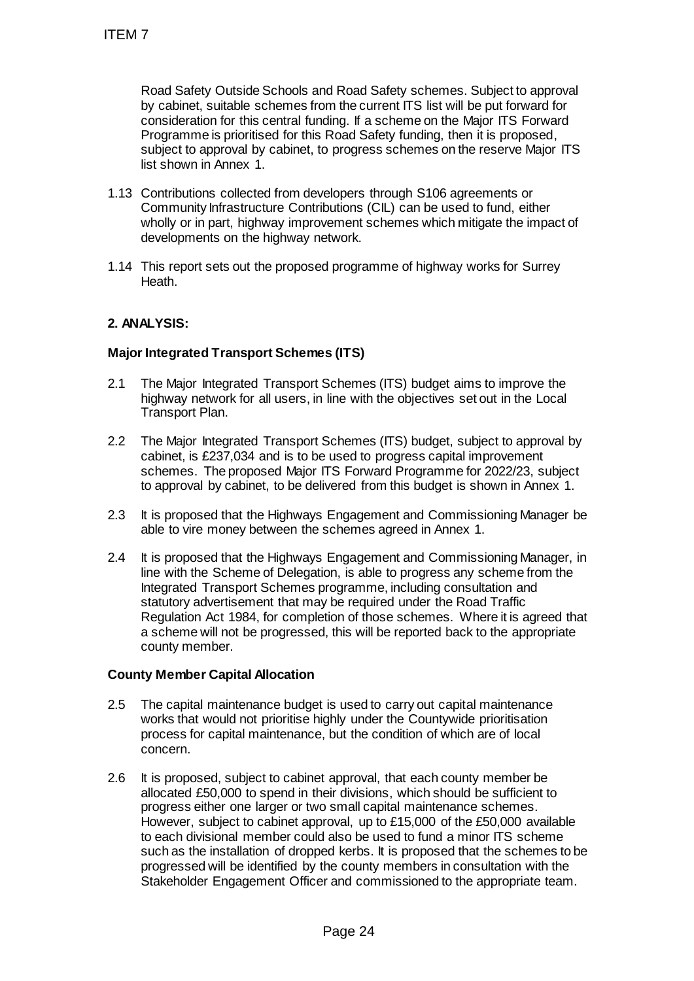Road Safety Outside Schools and Road Safety schemes. Subject to approval by cabinet, suitable schemes from the current ITS list will be put forward for consideration for this central funding. If a scheme on the Major ITS Forward Programme is prioritised for this Road Safety funding, then it is proposed, subject to approval by cabinet, to progress schemes on the reserve Major ITS list shown in Annex 1.

- 1.13 Contributions collected from developers through S106 agreements or Community Infrastructure Contributions (CIL) can be used to fund, either wholly or in part, highway improvement schemes which mitigate the impact of developments on the highway network.
- 1.14 This report sets out the proposed programme of highway works for Surrey Heath.

# **2. ANALYSIS:**

## **Major Integrated Transport Schemes (ITS)**

- 2.1 The Major Integrated Transport Schemes (ITS) budget aims to improve the highway network for all users, in line with the objectives set out in the Local Transport Plan.
- 2.2 The Major Integrated Transport Schemes (ITS) budget, subject to approval by cabinet, is £237,034 and is to be used to progress capital improvement schemes. The proposed Major ITS Forward Programme for 2022/23, subject to approval by cabinet, to be delivered from this budget is shown in Annex 1.
- 2.3 It is proposed that the Highways Engagement and Commissioning Manager be able to vire money between the schemes agreed in Annex 1.
- 2.4 It is proposed that the Highways Engagement and Commissioning Manager, in line with the Scheme of Delegation, is able to progress any scheme from the Integrated Transport Schemes programme, including consultation and statutory advertisement that may be required under the Road Traffic Regulation Act 1984, for completion of those schemes. Where it is agreed that a scheme will not be progressed, this will be reported back to the appropriate county member.

### **County Member Capital Allocation**

- 2.5 The capital maintenance budget is used to carry out capital maintenance works that would not prioritise highly under the Countywide prioritisation process for capital maintenance, but the condition of which are of local concern.
- 2.6 It is proposed, subject to cabinet approval, that each county member be allocated £50,000 to spend in their divisions, which should be sufficient to progress either one larger or two small capital maintenance schemes. However, subject to cabinet approval, up to £15,000 of the £50,000 available to each divisional member could also be used to fund a minor ITS scheme such as the installation of dropped kerbs. It is proposed that the schemes to be progressed will be identified by the county members in consultation with the Stakeholder Engagement Officer and commissioned to the appropriate team. ITEM 7<br>
Road Safety Outside Schools and Road<br>
by cabinet, suitable schemes from the cu<br>
consideration for this central funding. If a<br>
Programme is priorited of tr his Road Safe<br>
list shown in Annex 1.<br>
1.13 Contributions c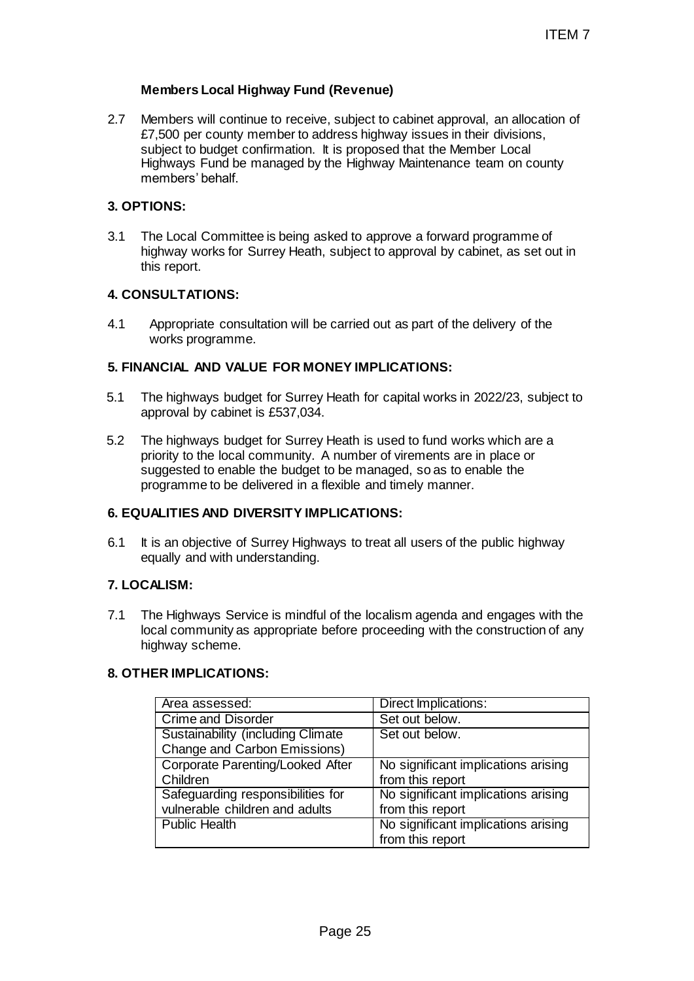## **Members Local Highway Fund (Revenue)**

2.7 Members will continue to receive, subject to cabinet approval, an allocation of £7,500 per county member to address highway issues in their divisions, subject to budget confirmation. It is proposed that the Member Local Highways Fund be managed by the Highway Maintenance team on county members' behalf.

### **3. OPTIONS:**

3.1 The Local Committee is being asked to approve a forward programme of highway works for Surrey Heath, subject to approval by cabinet, as set out in this report.

### **4. CONSULTATIONS:**

4.1 Appropriate consultation will be carried out as part of the delivery of the works programme.

### **5. FINANCIAL AND VALUE FOR MONEY IMPLICATIONS:**

- 5.1 The highways budget for Surrey Heath for capital works in 2022/23, subject to approval by cabinet is £537,034.
- 5.2 The highways budget for Surrey Heath is used to fund works which are a priority to the local community. A number of virements are in place or suggested to enable the budget to be managed, so as to enable the programme to be delivered in a flexible and timely manner.

### **6. EQUALITIES AND DIVERSITY IMPLICATIONS:**

6.1 It is an objective of Surrey Highways to treat all users of the public highway equally and with understanding.

### **7. LOCALISM:**

7.1 The Highways Service is mindful of the localism agenda and engages with the local community as appropriate before proceeding with the construction of any highway scheme.

### **8. OTHER IMPLICATIONS:**

|                                                                                                                                                                                                                                                                                                                       | <b>ITEM7</b>                                            |  |  |  |  |
|-----------------------------------------------------------------------------------------------------------------------------------------------------------------------------------------------------------------------------------------------------------------------------------------------------------------------|---------------------------------------------------------|--|--|--|--|
| embers Local Highway Fund (Revenue)                                                                                                                                                                                                                                                                                   |                                                         |  |  |  |  |
| embers will continue to receive, subject to cabinet approval, an allocation of<br>',500 per county member to address highway issues in their divisions,<br>ibject to budget confirmation. It is proposed that the Member Local<br>ghways Fund be managed by the Highway Maintenance team on county<br>embers' behalf. |                                                         |  |  |  |  |
| ONS:                                                                                                                                                                                                                                                                                                                  |                                                         |  |  |  |  |
| ne Local Committee is being asked to approve a forward programme of<br>ghway works for Surrey Heath, subject to approval by cabinet, as set out in<br>is report.                                                                                                                                                      |                                                         |  |  |  |  |
| <b>SULTATIONS:</b>                                                                                                                                                                                                                                                                                                    |                                                         |  |  |  |  |
| Appropriate consultation will be carried out as part of the delivery of the<br>works programme.                                                                                                                                                                                                                       |                                                         |  |  |  |  |
| NCIAL AND VALUE FOR MONEY IMPLICATIONS:                                                                                                                                                                                                                                                                               |                                                         |  |  |  |  |
| ne highways budget for Surrey Heath for capital works in 2022/23, subject to<br>pproval by cabinet is £537,034.                                                                                                                                                                                                       |                                                         |  |  |  |  |
| e highways budget for Surrey Heath is used to fund works which are a<br>iority to the local community. A number of virements are in place or<br>iggested to enable the budget to be managed, so as to enable the<br>ogramme to be delivered in a flexible and timely manner.                                          |                                                         |  |  |  |  |
| ALITIES AND DIVERSITY IMPLICATIONS:                                                                                                                                                                                                                                                                                   |                                                         |  |  |  |  |
| is an objective of Surrey Highways to treat all users of the public highway<br>jually and with understanding.                                                                                                                                                                                                         |                                                         |  |  |  |  |
| <b>ALISM:</b>                                                                                                                                                                                                                                                                                                         |                                                         |  |  |  |  |
| ne Highways Service is mindful of the localism agenda and engages with the<br>cal community as appropriate before proceeding with the construction of any<br>ghway scheme.                                                                                                                                            |                                                         |  |  |  |  |
| <b>ER IMPLICATIONS:</b>                                                                                                                                                                                                                                                                                               |                                                         |  |  |  |  |
| Area assessed:                                                                                                                                                                                                                                                                                                        | Direct Implications:                                    |  |  |  |  |
| <b>Crime and Disorder</b><br><b>Sustainability (including Climate)</b>                                                                                                                                                                                                                                                | Set out below.<br>Set out below.                        |  |  |  |  |
| Change and Carbon Emissions)                                                                                                                                                                                                                                                                                          |                                                         |  |  |  |  |
| Corporate Parenting/Looked After                                                                                                                                                                                                                                                                                      | No significant implications arising                     |  |  |  |  |
| Children<br>Safeguarding responsibilities for                                                                                                                                                                                                                                                                         | from this report<br>No significant implications arising |  |  |  |  |
| vulnerable children and adults                                                                                                                                                                                                                                                                                        | from this report                                        |  |  |  |  |
| <b>Public Health</b>                                                                                                                                                                                                                                                                                                  | No significant implications arising<br>from this report |  |  |  |  |
|                                                                                                                                                                                                                                                                                                                       |                                                         |  |  |  |  |
|                                                                                                                                                                                                                                                                                                                       |                                                         |  |  |  |  |
| Page 25                                                                                                                                                                                                                                                                                                               |                                                         |  |  |  |  |
|                                                                                                                                                                                                                                                                                                                       |                                                         |  |  |  |  |